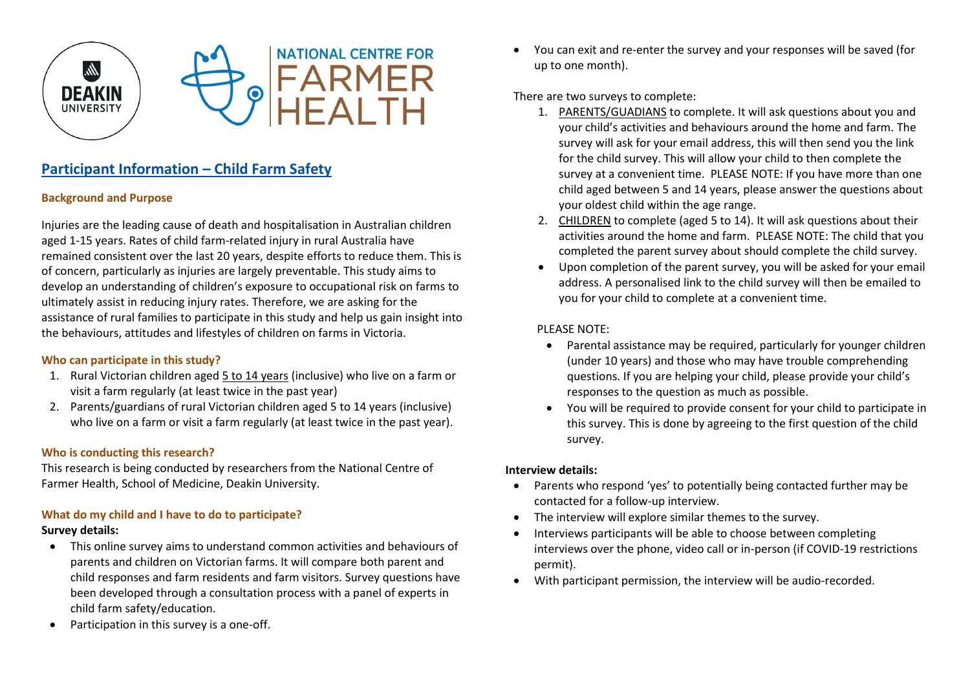

# **Participant Information – Child Farm Safety**

## **Background and Purpose**

Injuries are the leading cause of death and hospitalisation in Australian children aged 1-15 years. Rates of child farm-related injury in rural Australia have remained consistent over the last 20 years, despite efforts to reduce them. This is of concern, particularly as injuries are largely preventable. This study aims to develop an understanding of children's exposure to occupational risk on farms to ultimately assist in reducing injury rates. Therefore, we are asking for the assistance of rural families to participate in this study and help us gain insight into the behaviours, attitudes and lifestyles of children on farms in Victoria.

## **Who can participate in this study?**

- 1. Rural Victorian children aged 5 to 14 years (inclusive) who live on a farm or visit a farm regularly (at least twice in the past year)
- 2. Parents/guardians of rural Victorian children aged 5 to 14 years (inclusive) who live on a farm or visit a farm regularly (at least twice in the past year).

## **Who is conducting this research?**

This research is being conducted by researchers from the National Centre of Farmer Health, School of Medicine, Deakin University.

## **What do my child and I have to do to participate?**

### **Survey details:**

- This online survey aims to understand common activities and behaviours of parents and children on Victorian farms. It will compare both parent and child responses and farm residents and farm visitors. Survey questions have been developed through a consultation process with a panel of experts in child farm safety/education.
- Participation in this survey is a one-off.

 You can exit and re-enter the survey and your responses will be saved (for up to one month).

There are two surveys to complete:

- 1. PARENTS/GUADIANS to complete. It will ask questions about you and your child's activities and behaviours around the home and farm. The survey will ask for your email address, this will then send you the link for the child survey. This will allow your child to then complete the survey at a convenient time. PLEASE NOTE: If you have more than one child aged between 5 and 14 years, please answer the questions about your oldest child within the age range.
- 2. CHILDREN to complete (aged 5 to 14). It will ask questions about their activities around the home and farm. PLEASE NOTE: The child that you completed the parent survey about should complete the child survey.
- Upon completion of the parent survey, you will be asked for your email address. A personalised link to the child survey will then be emailed to you for your child to complete at a convenient time.

## PLEASE NOTE:

- Parental assistance may be required, particularly for younger children (under 10 years) and those who may have trouble comprehending questions. If you are helping your child, please provide your child's responses to the question as much as possible.
- You will be required to provide consent for your child to participate in this survey. This is done by agreeing to the first question of the child survey.

## **Interview details:**

- Parents who respond 'yes' to potentially being contacted further may be contacted for a follow-up interview.
- The interview will explore similar themes to the survey.
- Interviews participants will be able to choose between completing interviews over the phone, video call or in-person (if COVID-19 restrictions permit).
- With participant permission, the interview will be audio-recorded.